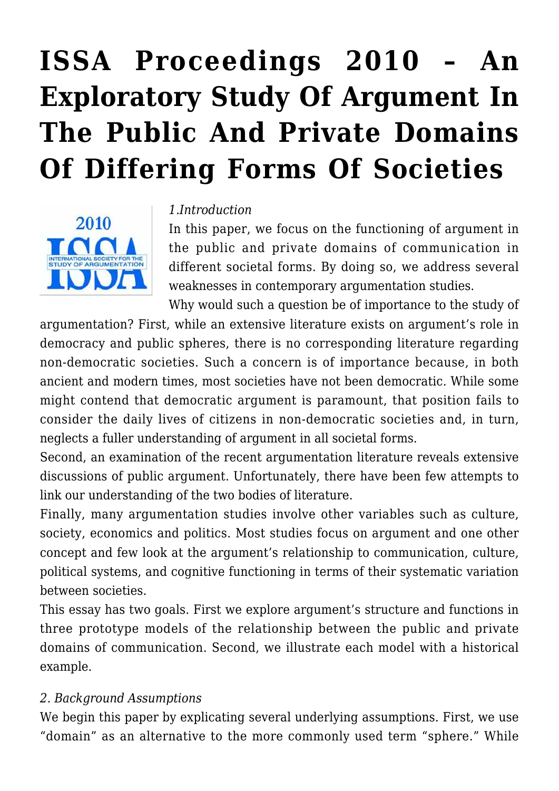# **[ISSA Proceedings 2010 – An](https://rozenbergquarterly.com/issa-proceedings-2010-an-exploratory-study-of-argument-in-the-public-and-private-domains-of-differing-forms-of-societies/) [Exploratory Study Of Argument In](https://rozenbergquarterly.com/issa-proceedings-2010-an-exploratory-study-of-argument-in-the-public-and-private-domains-of-differing-forms-of-societies/) [The Public And Private Domains](https://rozenbergquarterly.com/issa-proceedings-2010-an-exploratory-study-of-argument-in-the-public-and-private-domains-of-differing-forms-of-societies/) [Of Differing Forms Of Societies](https://rozenbergquarterly.com/issa-proceedings-2010-an-exploratory-study-of-argument-in-the-public-and-private-domains-of-differing-forms-of-societies/)**



#### *1.Introduction*

In this paper, we focus on the functioning of argument in the public and private domains of communication in different societal forms. By doing so, we address several weaknesses in contemporary argumentation studies.

Why would such a question be of importance to the study of argumentation? First, while an extensive literature exists on argument's role in democracy and public spheres, there is no corresponding literature regarding non-democratic societies. Such a concern is of importance because, in both ancient and modern times, most societies have not been democratic. While some might contend that democratic argument is paramount, that position fails to consider the daily lives of citizens in non-democratic societies and, in turn, neglects a fuller understanding of argument in all societal forms.

Second, an examination of the recent argumentation literature reveals extensive discussions of public argument. Unfortunately, there have been few attempts to link our understanding of the two bodies of literature.

Finally, many argumentation studies involve other variables such as culture, society, economics and politics. Most studies focus on argument and one other concept and few look at the argument's relationship to communication, culture, political systems, and cognitive functioning in terms of their systematic variation between societies.

This essay has two goals. First we explore argument's structure and functions in three prototype models of the relationship between the public and private domains of communication. Second, we illustrate each model with a historical example.

#### *2. Background Assumptions*

We begin this paper by explicating several underlying assumptions. First, we use "domain" as an alternative to the more commonly used term "sphere." While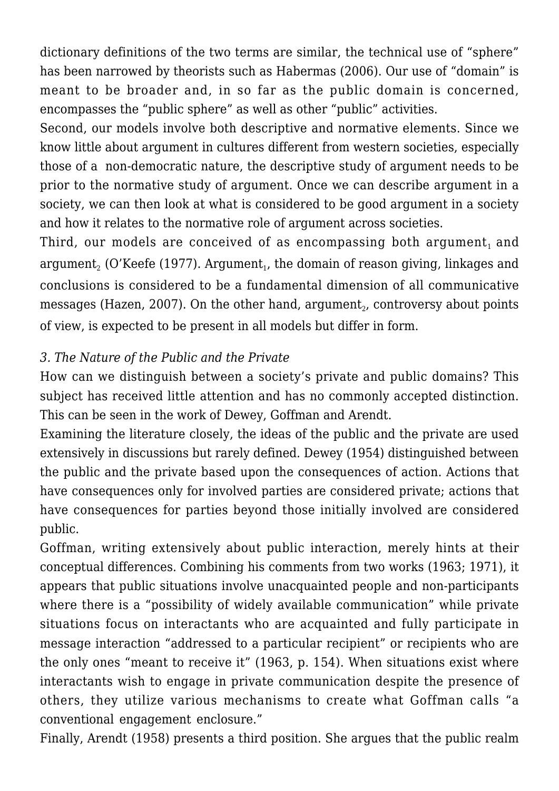dictionary definitions of the two terms are similar, the technical use of "sphere" has been narrowed by theorists such as Habermas (2006). Our use of "domain" is meant to be broader and, in so far as the public domain is concerned, encompasses the "public sphere" as well as other "public" activities.

Second, our models involve both descriptive and normative elements. Since we know little about argument in cultures different from western societies, especially those of a non-democratic nature, the descriptive study of argument needs to be prior to the normative study of argument. Once we can describe argument in a society, we can then look at what is considered to be good argument in a society and how it relates to the normative role of argument across societies.

Third, our models are conceived of as encompassing both argument, and argument $_{\text{2}}$  (O'Keefe (1977). Argument $_{\text{1}}$ , the domain of reason giving, linkages and conclusions is considered to be a fundamental dimension of all communicative messages (Hazen, 2007). On the other hand, argument $_{\textrm{\tiny{2}}}$ , controversy about points of view, is expected to be present in all models but differ in form.

## *3. The Nature of the Public and the Private*

How can we distinguish between a society's private and public domains? This subject has received little attention and has no commonly accepted distinction. This can be seen in the work of Dewey, Goffman and Arendt.

Examining the literature closely, the ideas of the public and the private are used extensively in discussions but rarely defined. Dewey (1954) distinguished between the public and the private based upon the consequences of action. Actions that have consequences only for involved parties are considered private; actions that have consequences for parties beyond those initially involved are considered public.

Goffman, writing extensively about public interaction, merely hints at their conceptual differences. Combining his comments from two works (1963; 1971), it appears that public situations involve unacquainted people and non-participants where there is a "possibility of widely available communication" while private situations focus on interactants who are acquainted and fully participate in message interaction "addressed to a particular recipient" or recipients who are the only ones "meant to receive it" (1963, p. 154). When situations exist where interactants wish to engage in private communication despite the presence of others, they utilize various mechanisms to create what Goffman calls "a conventional engagement enclosure."

Finally, Arendt (1958) presents a third position. She argues that the public realm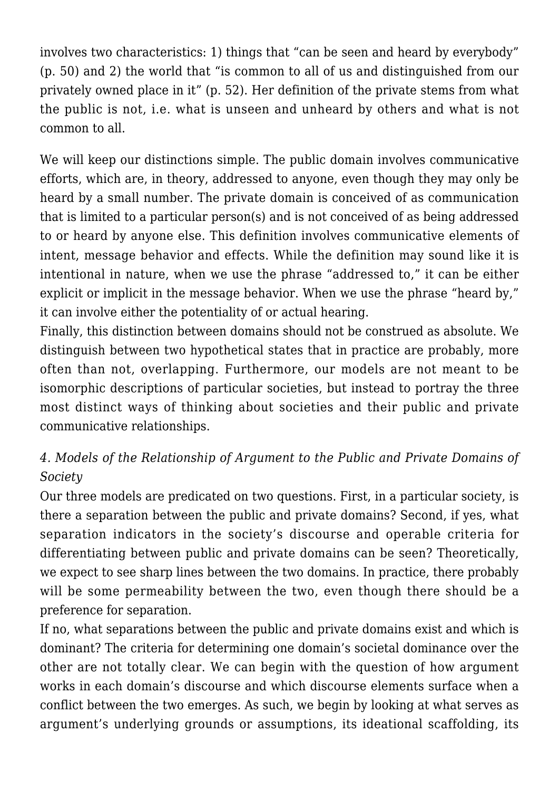involves two characteristics: 1) things that "can be seen and heard by everybody" (p. 50) and 2) the world that "is common to all of us and distinguished from our privately owned place in it" (p. 52). Her definition of the private stems from what the public is not, i.e. what is unseen and unheard by others and what is not common to all.

We will keep our distinctions simple. The public domain involves communicative efforts, which are, in theory, addressed to anyone, even though they may only be heard by a small number. The private domain is conceived of as communication that is limited to a particular person(s) and is not conceived of as being addressed to or heard by anyone else. This definition involves communicative elements of intent, message behavior and effects. While the definition may sound like it is intentional in nature, when we use the phrase "addressed to," it can be either explicit or implicit in the message behavior. When we use the phrase "heard by," it can involve either the potentiality of or actual hearing.

Finally, this distinction between domains should not be construed as absolute. We distinguish between two hypothetical states that in practice are probably, more often than not, overlapping. Furthermore, our models are not meant to be isomorphic descriptions of particular societies, but instead to portray the three most distinct ways of thinking about societies and their public and private communicative relationships.

# *4. Models of the Relationship of Argument to the Public and Private Domains of Society*

Our three models are predicated on two questions. First, in a particular society, is there a separation between the public and private domains? Second, if yes, what separation indicators in the society's discourse and operable criteria for differentiating between public and private domains can be seen? Theoretically, we expect to see sharp lines between the two domains. In practice, there probably will be some permeability between the two, even though there should be a preference for separation.

If no, what separations between the public and private domains exist and which is dominant? The criteria for determining one domain's societal dominance over the other are not totally clear. We can begin with the question of how argument works in each domain's discourse and which discourse elements surface when a conflict between the two emerges. As such, we begin by looking at what serves as argument's underlying grounds or assumptions, its ideational scaffolding, its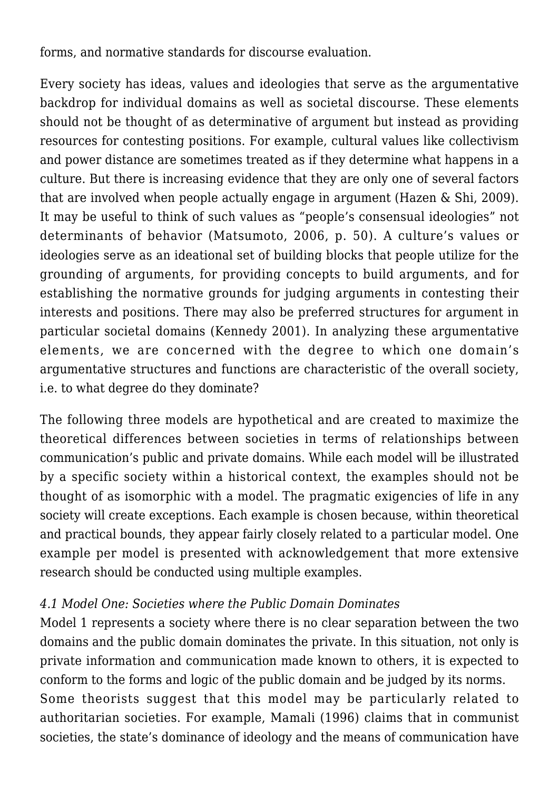forms, and normative standards for discourse evaluation.

Every society has ideas, values and ideologies that serve as the argumentative backdrop for individual domains as well as societal discourse. These elements should not be thought of as determinative of argument but instead as providing resources for contesting positions. For example, cultural values like collectivism and power distance are sometimes treated as if they determine what happens in a culture. But there is increasing evidence that they are only one of several factors that are involved when people actually engage in argument (Hazen & Shi, 2009). It may be useful to think of such values as "people's consensual ideologies" not determinants of behavior (Matsumoto, 2006, p. 50). A culture's values or ideologies serve as an ideational set of building blocks that people utilize for the grounding of arguments, for providing concepts to build arguments, and for establishing the normative grounds for judging arguments in contesting their interests and positions. There may also be preferred structures for argument in particular societal domains (Kennedy 2001). In analyzing these argumentative elements, we are concerned with the degree to which one domain's argumentative structures and functions are characteristic of the overall society, i.e. to what degree do they dominate?

The following three models are hypothetical and are created to maximize the theoretical differences between societies in terms of relationships between communication's public and private domains. While each model will be illustrated by a specific society within a historical context, the examples should not be thought of as isomorphic with a model. The pragmatic exigencies of life in any society will create exceptions. Each example is chosen because, within theoretical and practical bounds, they appear fairly closely related to a particular model. One example per model is presented with acknowledgement that more extensive research should be conducted using multiple examples.

## *4.1 Model One: Societies where the Public Domain Dominates*

Model 1 represents a society where there is no clear separation between the two domains and the public domain dominates the private. In this situation, not only is private information and communication made known to others, it is expected to conform to the forms and logic of the public domain and be judged by its norms. Some theorists suggest that this model may be particularly related to authoritarian societies. For example, Mamali (1996) claims that in communist societies, the state's dominance of ideology and the means of communication have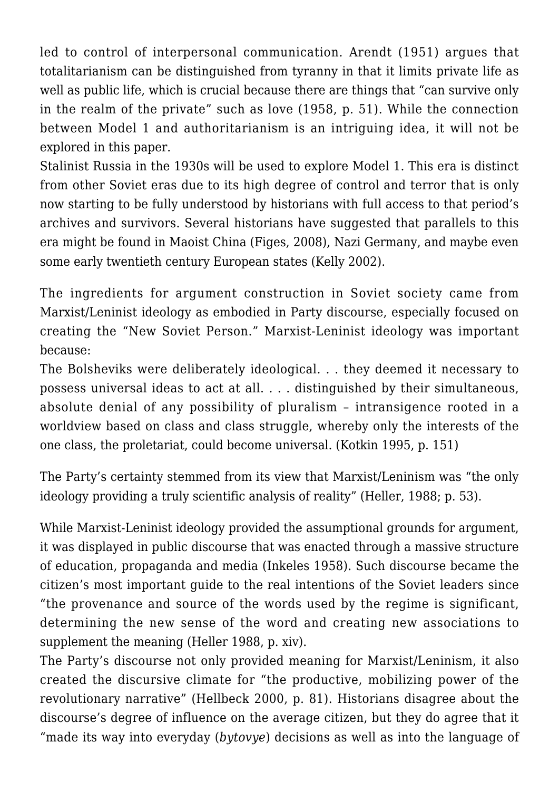led to control of interpersonal communication. Arendt (1951) argues that totalitarianism can be distinguished from tyranny in that it limits private life as well as public life, which is crucial because there are things that "can survive only in the realm of the private" such as love (1958, p. 51). While the connection between Model 1 and authoritarianism is an intriguing idea, it will not be explored in this paper.

Stalinist Russia in the 1930s will be used to explore Model 1. This era is distinct from other Soviet eras due to its high degree of control and terror that is only now starting to be fully understood by historians with full access to that period's archives and survivors. Several historians have suggested that parallels to this era might be found in Maoist China (Figes, 2008), Nazi Germany, and maybe even some early twentieth century European states (Kelly 2002).

The ingredients for argument construction in Soviet society came from Marxist/Leninist ideology as embodied in Party discourse, especially focused on creating the "New Soviet Person." Marxist-Leninist ideology was important because:

The Bolsheviks were deliberately ideological. . . they deemed it necessary to possess universal ideas to act at all. . . . distinguished by their simultaneous, absolute denial of any possibility of pluralism – intransigence rooted in a worldview based on class and class struggle, whereby only the interests of the one class, the proletariat, could become universal. (Kotkin 1995, p. 151)

The Party's certainty stemmed from its view that Marxist/Leninism was "the only ideology providing a truly scientific analysis of reality" (Heller, 1988; p. 53).

While Marxist-Leninist ideology provided the assumptional grounds for argument, it was displayed in public discourse that was enacted through a massive structure of education, propaganda and media (Inkeles 1958). Such discourse became the citizen's most important guide to the real intentions of the Soviet leaders since "the provenance and source of the words used by the regime is significant, determining the new sense of the word and creating new associations to supplement the meaning (Heller 1988, p. xiv).

The Party's discourse not only provided meaning for Marxist/Leninism, it also created the discursive climate for "the productive, mobilizing power of the revolutionary narrative" (Hellbeck 2000, p. 81). Historians disagree about the discourse's degree of influence on the average citizen, but they do agree that it "made its way into everyday (*bytovye*) decisions as well as into the language of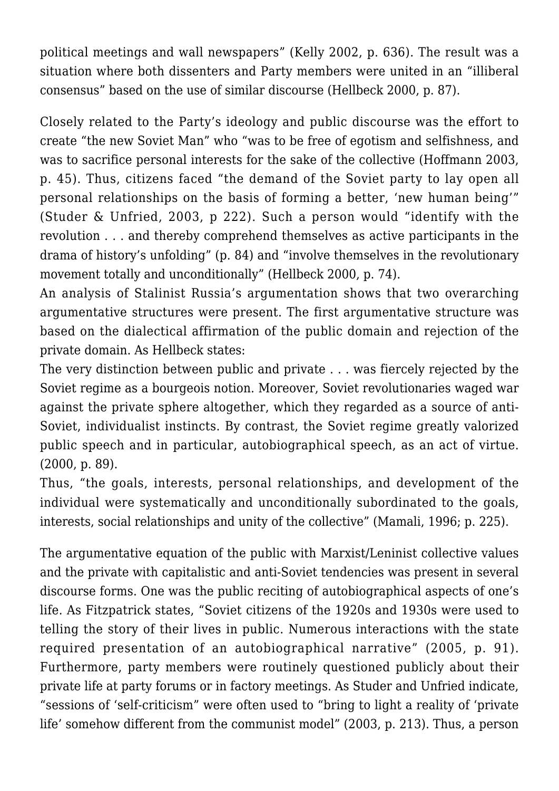political meetings and wall newspapers" (Kelly 2002, p. 636). The result was a situation where both dissenters and Party members were united in an "illiberal consensus" based on the use of similar discourse (Hellbeck 2000, p. 87).

Closely related to the Party's ideology and public discourse was the effort to create "the new Soviet Man" who "was to be free of egotism and selfishness, and was to sacrifice personal interests for the sake of the collective (Hoffmann 2003, p. 45). Thus, citizens faced "the demand of the Soviet party to lay open all personal relationships on the basis of forming a better, 'new human being'" (Studer & Unfried, 2003, p 222). Such a person would "identify with the revolution . . . and thereby comprehend themselves as active participants in the drama of history's unfolding" (p. 84) and "involve themselves in the revolutionary movement totally and unconditionally" (Hellbeck 2000, p. 74).

An analysis of Stalinist Russia's argumentation shows that two overarching argumentative structures were present. The first argumentative structure was based on the dialectical affirmation of the public domain and rejection of the private domain. As Hellbeck states:

The very distinction between public and private . . . was fiercely rejected by the Soviet regime as a bourgeois notion. Moreover, Soviet revolutionaries waged war against the private sphere altogether, which they regarded as a source of anti-Soviet, individualist instincts. By contrast, the Soviet regime greatly valorized public speech and in particular, autobiographical speech, as an act of virtue. (2000, p. 89).

Thus, "the goals, interests, personal relationships, and development of the individual were systematically and unconditionally subordinated to the goals, interests, social relationships and unity of the collective" (Mamali, 1996; p. 225).

The argumentative equation of the public with Marxist/Leninist collective values and the private with capitalistic and anti-Soviet tendencies was present in several discourse forms. One was the public reciting of autobiographical aspects of one's life. As Fitzpatrick states, "Soviet citizens of the 1920s and 1930s were used to telling the story of their lives in public. Numerous interactions with the state required presentation of an autobiographical narrative" (2005, p. 91). Furthermore, party members were routinely questioned publicly about their private life at party forums or in factory meetings. As Studer and Unfried indicate, "sessions of 'self-criticism" were often used to "bring to light a reality of 'private life' somehow different from the communist model" (2003, p. 213). Thus, a person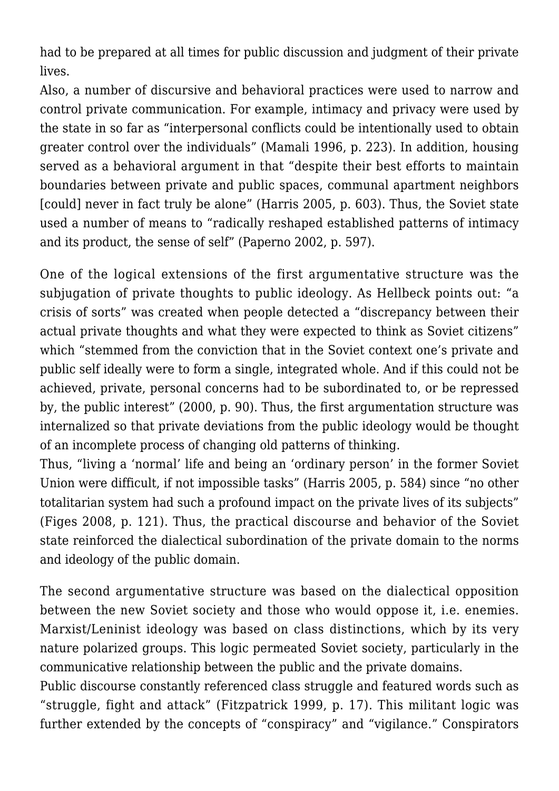had to be prepared at all times for public discussion and judgment of their private lives.

Also, a number of discursive and behavioral practices were used to narrow and control private communication. For example, intimacy and privacy were used by the state in so far as "interpersonal conflicts could be intentionally used to obtain greater control over the individuals" (Mamali 1996, p. 223). In addition, housing served as a behavioral argument in that "despite their best efforts to maintain boundaries between private and public spaces, communal apartment neighbors [could] never in fact truly be alone" (Harris 2005, p. 603). Thus, the Soviet state used a number of means to "radically reshaped established patterns of intimacy and its product, the sense of self" (Paperno 2002, p. 597).

One of the logical extensions of the first argumentative structure was the subjugation of private thoughts to public ideology. As Hellbeck points out: "a crisis of sorts" was created when people detected a "discrepancy between their actual private thoughts and what they were expected to think as Soviet citizens" which "stemmed from the conviction that in the Soviet context one's private and public self ideally were to form a single, integrated whole. And if this could not be achieved, private, personal concerns had to be subordinated to, or be repressed by, the public interest" (2000, p. 90). Thus, the first argumentation structure was internalized so that private deviations from the public ideology would be thought of an incomplete process of changing old patterns of thinking.

Thus, "living a 'normal' life and being an 'ordinary person' in the former Soviet Union were difficult, if not impossible tasks" (Harris 2005, p. 584) since "no other totalitarian system had such a profound impact on the private lives of its subjects" (Figes 2008, p. 121). Thus, the practical discourse and behavior of the Soviet state reinforced the dialectical subordination of the private domain to the norms and ideology of the public domain.

The second argumentative structure was based on the dialectical opposition between the new Soviet society and those who would oppose it, i.e. enemies. Marxist/Leninist ideology was based on class distinctions, which by its very nature polarized groups. This logic permeated Soviet society, particularly in the communicative relationship between the public and the private domains.

Public discourse constantly referenced class struggle and featured words such as "struggle, fight and attack" (Fitzpatrick 1999, p. 17). This militant logic was further extended by the concepts of "conspiracy" and "vigilance." Conspirators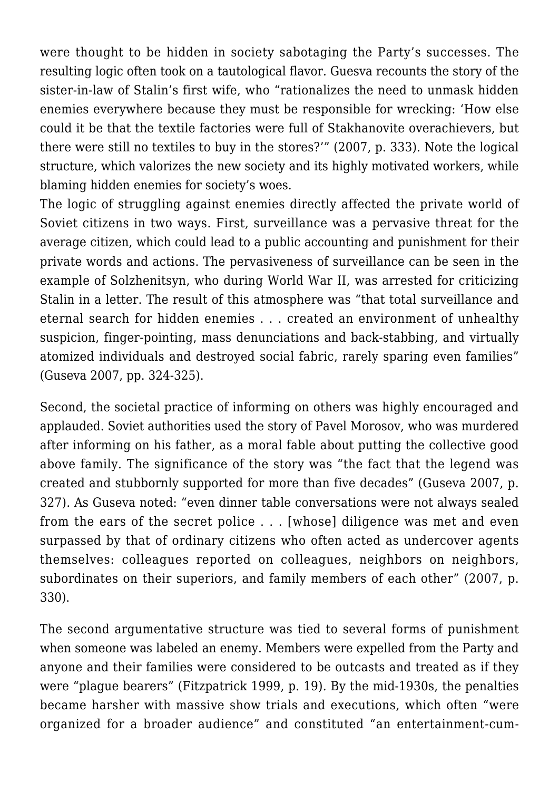were thought to be hidden in society sabotaging the Party's successes. The resulting logic often took on a tautological flavor. Guesva recounts the story of the sister-in-law of Stalin's first wife, who "rationalizes the need to unmask hidden enemies everywhere because they must be responsible for wrecking: 'How else could it be that the textile factories were full of Stakhanovite overachievers, but there were still no textiles to buy in the stores?'" (2007, p. 333). Note the logical structure, which valorizes the new society and its highly motivated workers, while blaming hidden enemies for society's woes.

The logic of struggling against enemies directly affected the private world of Soviet citizens in two ways. First, surveillance was a pervasive threat for the average citizen, which could lead to a public accounting and punishment for their private words and actions. The pervasiveness of surveillance can be seen in the example of Solzhenitsyn, who during World War II, was arrested for criticizing Stalin in a letter. The result of this atmosphere was "that total surveillance and eternal search for hidden enemies . . . created an environment of unhealthy suspicion, finger-pointing, mass denunciations and back-stabbing, and virtually atomized individuals and destroyed social fabric, rarely sparing even families" (Guseva 2007, pp. 324-325).

Second, the societal practice of informing on others was highly encouraged and applauded. Soviet authorities used the story of Pavel Morosov, who was murdered after informing on his father, as a moral fable about putting the collective good above family. The significance of the story was "the fact that the legend was created and stubbornly supported for more than five decades" (Guseva 2007, p. 327). As Guseva noted: "even dinner table conversations were not always sealed from the ears of the secret police . . . [whose] diligence was met and even surpassed by that of ordinary citizens who often acted as undercover agents themselves: colleagues reported on colleagues, neighbors on neighbors, subordinates on their superiors, and family members of each other" (2007, p. 330).

The second argumentative structure was tied to several forms of punishment when someone was labeled an enemy. Members were expelled from the Party and anyone and their families were considered to be outcasts and treated as if they were "plague bearers" (Fitzpatrick 1999, p. 19). By the mid-1930s, the penalties became harsher with massive show trials and executions, which often "were organized for a broader audience" and constituted "an entertainment-cum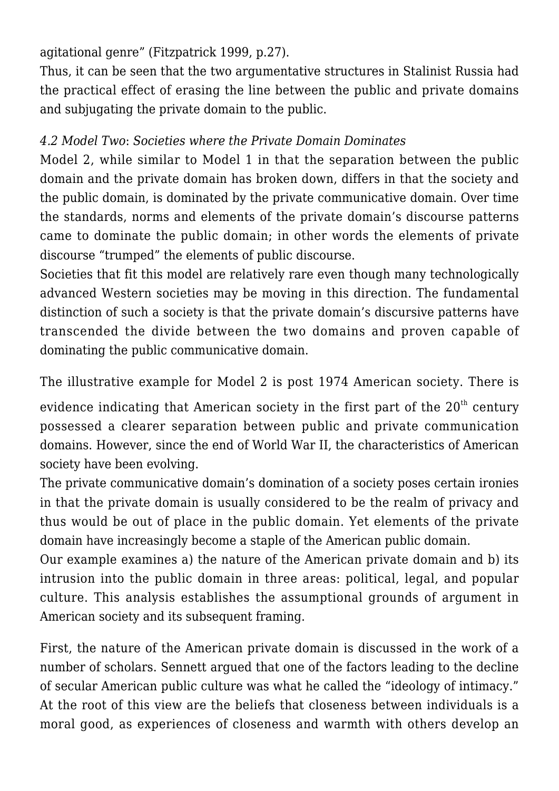agitational genre" (Fitzpatrick 1999, p.27).

Thus, it can be seen that the two argumentative structures in Stalinist Russia had the practical effect of erasing the line between the public and private domains and subjugating the private domain to the public.

## *4.2 Model Two*: *Societies where the Private Domain Dominates*

Model 2, while similar to Model 1 in that the separation between the public domain and the private domain has broken down, differs in that the society and the public domain, is dominated by the private communicative domain. Over time the standards, norms and elements of the private domain's discourse patterns came to dominate the public domain; in other words the elements of private discourse "trumped" the elements of public discourse.

Societies that fit this model are relatively rare even though many technologically advanced Western societies may be moving in this direction. The fundamental distinction of such a society is that the private domain's discursive patterns have transcended the divide between the two domains and proven capable of dominating the public communicative domain.

The illustrative example for Model 2 is post 1974 American society. There is

evidence indicating that American society in the first part of the  $20<sup>th</sup>$  century possessed a clearer separation between public and private communication domains. However, since the end of World War II, the characteristics of American society have been evolving.

The private communicative domain's domination of a society poses certain ironies in that the private domain is usually considered to be the realm of privacy and thus would be out of place in the public domain. Yet elements of the private domain have increasingly become a staple of the American public domain.

Our example examines a) the nature of the American private domain and b) its intrusion into the public domain in three areas: political, legal, and popular culture. This analysis establishes the assumptional grounds of argument in American society and its subsequent framing.

First, the nature of the American private domain is discussed in the work of a number of scholars. Sennett argued that one of the factors leading to the decline of secular American public culture was what he called the "ideology of intimacy." At the root of this view are the beliefs that closeness between individuals is a moral good, as experiences of closeness and warmth with others develop an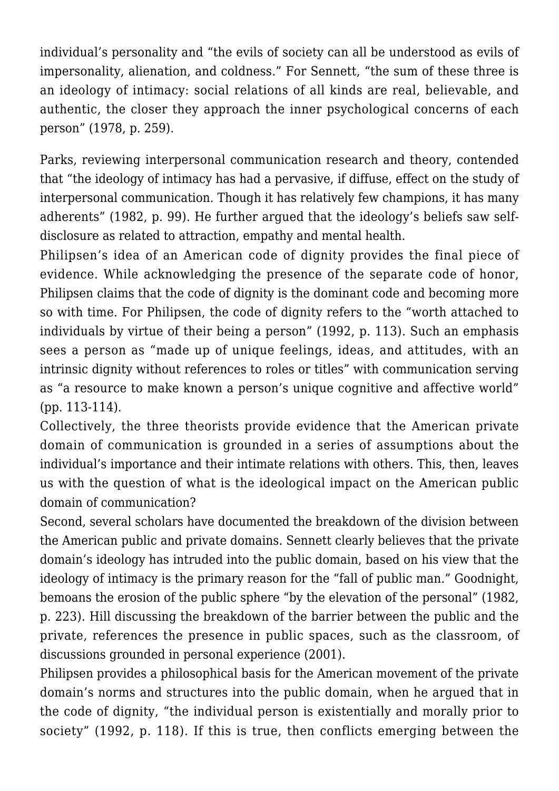individual's personality and "the evils of society can all be understood as evils of impersonality, alienation, and coldness." For Sennett, "the sum of these three is an ideology of intimacy: social relations of all kinds are real, believable, and authentic, the closer they approach the inner psychological concerns of each person" (1978, p. 259).

Parks, reviewing interpersonal communication research and theory, contended that "the ideology of intimacy has had a pervasive, if diffuse, effect on the study of interpersonal communication. Though it has relatively few champions, it has many adherents" (1982, p. 99). He further argued that the ideology's beliefs saw selfdisclosure as related to attraction, empathy and mental health.

Philipsen's idea of an American code of dignity provides the final piece of evidence. While acknowledging the presence of the separate code of honor, Philipsen claims that the code of dignity is the dominant code and becoming more so with time. For Philipsen, the code of dignity refers to the "worth attached to individuals by virtue of their being a person" (1992, p. 113). Such an emphasis sees a person as "made up of unique feelings, ideas, and attitudes, with an intrinsic dignity without references to roles or titles" with communication serving as "a resource to make known a person's unique cognitive and affective world" (pp. 113-114).

Collectively, the three theorists provide evidence that the American private domain of communication is grounded in a series of assumptions about the individual's importance and their intimate relations with others. This, then, leaves us with the question of what is the ideological impact on the American public domain of communication?

Second, several scholars have documented the breakdown of the division between the American public and private domains. Sennett clearly believes that the private domain's ideology has intruded into the public domain, based on his view that the ideology of intimacy is the primary reason for the "fall of public man." Goodnight, bemoans the erosion of the public sphere "by the elevation of the personal" (1982, p. 223). Hill discussing the breakdown of the barrier between the public and the private, references the presence in public spaces, such as the classroom, of discussions grounded in personal experience (2001).

Philipsen provides a philosophical basis for the American movement of the private domain's norms and structures into the public domain, when he argued that in the code of dignity, "the individual person is existentially and morally prior to society" (1992, p. 118). If this is true, then conflicts emerging between the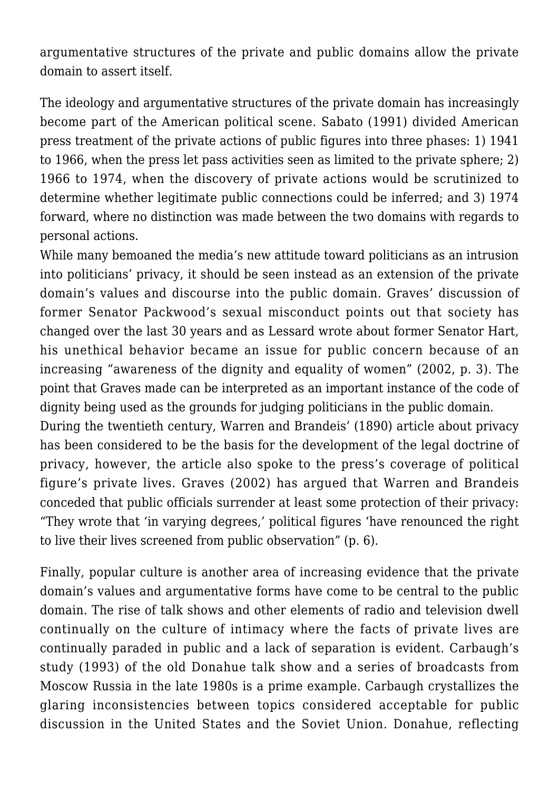argumentative structures of the private and public domains allow the private domain to assert itself.

The ideology and argumentative structures of the private domain has increasingly become part of the American political scene. Sabato (1991) divided American press treatment of the private actions of public figures into three phases: 1) 1941 to 1966, when the press let pass activities seen as limited to the private sphere; 2) 1966 to 1974, when the discovery of private actions would be scrutinized to determine whether legitimate public connections could be inferred; and 3) 1974 forward, where no distinction was made between the two domains with regards to personal actions.

While many bemoaned the media's new attitude toward politicians as an intrusion into politicians' privacy, it should be seen instead as an extension of the private domain's values and discourse into the public domain. Graves' discussion of former Senator Packwood's sexual misconduct points out that society has changed over the last 30 years and as Lessard wrote about former Senator Hart, his unethical behavior became an issue for public concern because of an increasing "awareness of the dignity and equality of women" (2002, p. 3). The point that Graves made can be interpreted as an important instance of the code of dignity being used as the grounds for judging politicians in the public domain.

During the twentieth century, Warren and Brandeis' (1890) article about privacy has been considered to be the basis for the development of the legal doctrine of privacy, however, the article also spoke to the press's coverage of political figure's private lives. Graves (2002) has argued that Warren and Brandeis conceded that public officials surrender at least some protection of their privacy: "They wrote that 'in varying degrees,' political figures 'have renounced the right to live their lives screened from public observation" (p. 6).

Finally, popular culture is another area of increasing evidence that the private domain's values and argumentative forms have come to be central to the public domain. The rise of talk shows and other elements of radio and television dwell continually on the culture of intimacy where the facts of private lives are continually paraded in public and a lack of separation is evident. Carbaugh's study (1993) of the old Donahue talk show and a series of broadcasts from Moscow Russia in the late 1980s is a prime example. Carbaugh crystallizes the glaring inconsistencies between topics considered acceptable for public discussion in the United States and the Soviet Union. Donahue, reflecting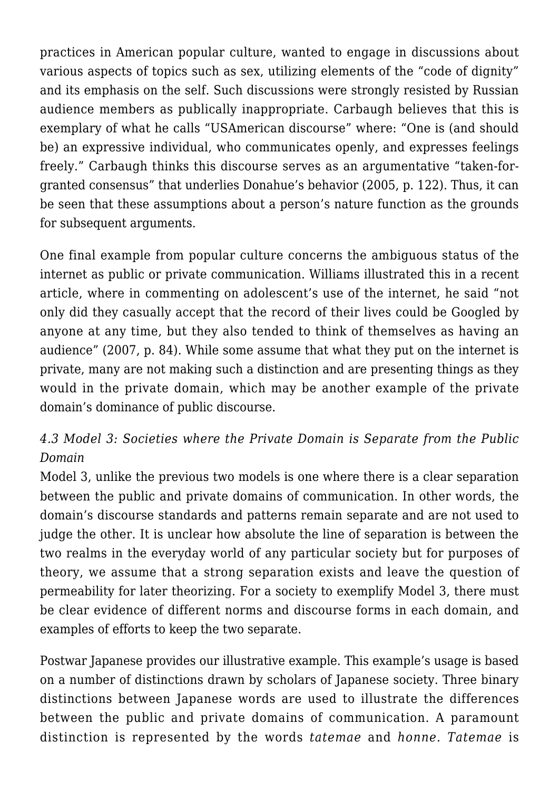practices in American popular culture, wanted to engage in discussions about various aspects of topics such as sex, utilizing elements of the "code of dignity" and its emphasis on the self. Such discussions were strongly resisted by Russian audience members as publically inappropriate. Carbaugh believes that this is exemplary of what he calls "USAmerican discourse" where: "One is (and should be) an expressive individual, who communicates openly, and expresses feelings freely." Carbaugh thinks this discourse serves as an argumentative "taken-forgranted consensus" that underlies Donahue's behavior (2005, p. 122). Thus, it can be seen that these assumptions about a person's nature function as the grounds for subsequent arguments.

One final example from popular culture concerns the ambiguous status of the internet as public or private communication. Williams illustrated this in a recent article, where in commenting on adolescent's use of the internet, he said "not only did they casually accept that the record of their lives could be Googled by anyone at any time, but they also tended to think of themselves as having an audience" (2007, p. 84). While some assume that what they put on the internet is private, many are not making such a distinction and are presenting things as they would in the private domain, which may be another example of the private domain's dominance of public discourse.

## *4.3 Model 3: Societies where the Private Domain is Separate from the Public Domain*

Model 3, unlike the previous two models is one where there is a clear separation between the public and private domains of communication. In other words, the domain's discourse standards and patterns remain separate and are not used to judge the other. It is unclear how absolute the line of separation is between the two realms in the everyday world of any particular society but for purposes of theory, we assume that a strong separation exists and leave the question of permeability for later theorizing. For a society to exemplify Model 3, there must be clear evidence of different norms and discourse forms in each domain, and examples of efforts to keep the two separate.

Postwar Japanese provides our illustrative example. This example's usage is based on a number of distinctions drawn by scholars of Japanese society. Three binary distinctions between Japanese words are used to illustrate the differences between the public and private domains of communication. A paramount distinction is represented by the words *tatemae* and *honne. Tatemae* is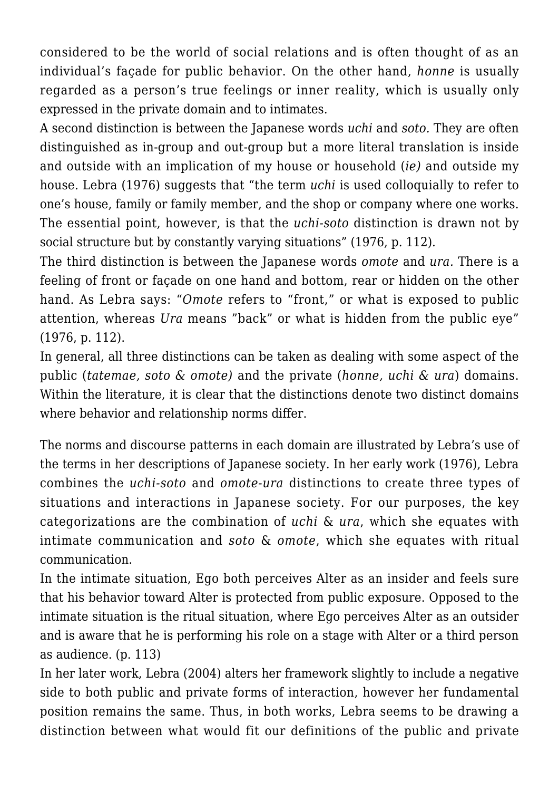considered to be the world of social relations and is often thought of as an individual's façade for public behavior. On the other hand, *honne* is usually regarded as a person's true feelings or inner reality, which is usually only expressed in the private domain and to intimates.

A second distinction is between the Japanese words *uchi* and *soto.* They are often distinguished as in-group and out-group but a more literal translation is inside and outside with an implication of my house or household (*ie)* and outside my house. Lebra (1976) suggests that "the term *uchi* is used colloquially to refer to one's house, family or family member, and the shop or company where one works. The essential point, however, is that the *uchi-soto* distinction is drawn not by social structure but by constantly varying situations" (1976, p. 112).

The third distinction is between the Japanese words *omote* and *ura.* There is a feeling of front or façade on one hand and bottom, rear or hidden on the other hand. As Lebra says: "*Omote* refers to "front," or what is exposed to public attention, whereas *Ura* means "back" or what is hidden from the public eye" (1976, p. 112).

In general, all three distinctions can be taken as dealing with some aspect of the public (*tatemae, soto & omote)* and the private (*honne, uchi & ura*) domains. Within the literature, it is clear that the distinctions denote two distinct domains where behavior and relationship norms differ.

The norms and discourse patterns in each domain are illustrated by Lebra's use of the terms in her descriptions of Japanese society. In her early work (1976), Lebra combines the *uchi-soto* and *omote-ura* distinctions to create three types of situations and interactions in Japanese society. For our purposes, the key categorizations are the combination of *uchi* & *ura*, which she equates with intimate communication and *soto* & *omote*, which she equates with ritual communication.

In the intimate situation, Ego both perceives Alter as an insider and feels sure that his behavior toward Alter is protected from public exposure. Opposed to the intimate situation is the ritual situation, where Ego perceives Alter as an outsider and is aware that he is performing his role on a stage with Alter or a third person as audience. (p. 113)

In her later work, Lebra (2004) alters her framework slightly to include a negative side to both public and private forms of interaction, however her fundamental position remains the same. Thus, in both works, Lebra seems to be drawing a distinction between what would fit our definitions of the public and private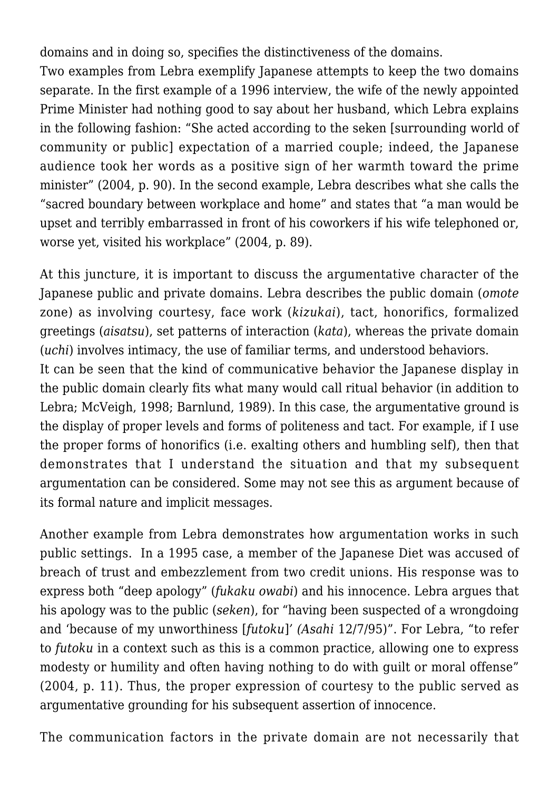domains and in doing so, specifies the distinctiveness of the domains.

Two examples from Lebra exemplify Japanese attempts to keep the two domains separate. In the first example of a 1996 interview, the wife of the newly appointed Prime Minister had nothing good to say about her husband, which Lebra explains in the following fashion: "She acted according to the seken [surrounding world of community or public] expectation of a married couple; indeed, the Japanese audience took her words as a positive sign of her warmth toward the prime minister" (2004, p. 90). In the second example, Lebra describes what she calls the "sacred boundary between workplace and home" and states that "a man would be upset and terribly embarrassed in front of his coworkers if his wife telephoned or, worse yet, visited his workplace" (2004, p. 89).

At this juncture, it is important to discuss the argumentative character of the Japanese public and private domains. Lebra describes the public domain (*omote* zone) as involving courtesy, face work (*kizukai*), tact, honorifics, formalized greetings (*aisatsu*), set patterns of interaction (*kata*), whereas the private domain (*uchi*) involves intimacy, the use of familiar terms, and understood behaviors.

It can be seen that the kind of communicative behavior the Japanese display in the public domain clearly fits what many would call ritual behavior (in addition to Lebra; McVeigh, 1998; Barnlund, 1989). In this case, the argumentative ground is the display of proper levels and forms of politeness and tact. For example, if I use the proper forms of honorifics (i.e. exalting others and humbling self), then that demonstrates that I understand the situation and that my subsequent argumentation can be considered. Some may not see this as argument because of its formal nature and implicit messages.

Another example from Lebra demonstrates how argumentation works in such public settings. In a 1995 case, a member of the Japanese Diet was accused of breach of trust and embezzlement from two credit unions. His response was to express both "deep apology" (*fukaku owabi*) and his innocence. Lebra argues that his apology was to the public (*seken*), for "having been suspected of a wrongdoing and 'because of my unworthiness [*futoku*]*' (Asahi* 12/7/95)". For Lebra, "to refer to *futoku* in a context such as this is a common practice, allowing one to express modesty or humility and often having nothing to do with guilt or moral offense" (2004, p. 11). Thus, the proper expression of courtesy to the public served as argumentative grounding for his subsequent assertion of innocence.

The communication factors in the private domain are not necessarily that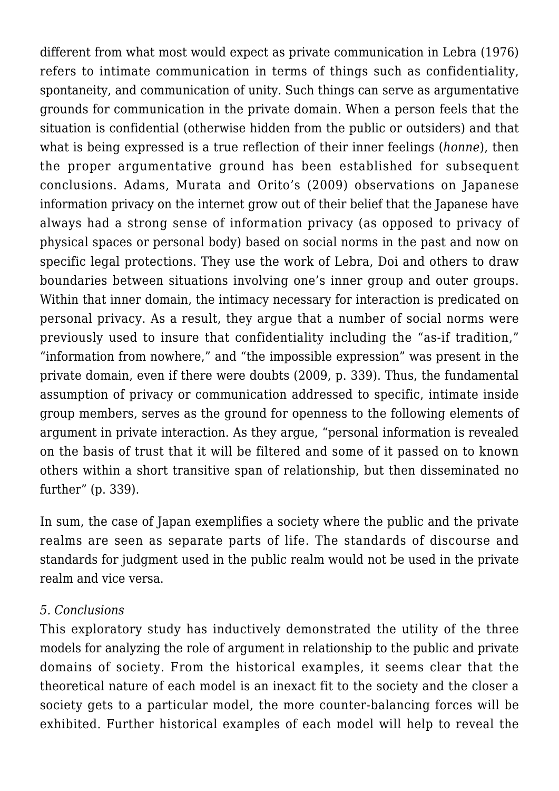different from what most would expect as private communication in Lebra (1976) refers to intimate communication in terms of things such as confidentiality, spontaneity, and communication of unity. Such things can serve as argumentative grounds for communication in the private domain. When a person feels that the situation is confidential (otherwise hidden from the public or outsiders) and that what is being expressed is a true reflection of their inner feelings (*honne*), then the proper argumentative ground has been established for subsequent conclusions. Adams, Murata and Orito's (2009) observations on Japanese information privacy on the internet grow out of their belief that the Japanese have always had a strong sense of information privacy (as opposed to privacy of physical spaces or personal body) based on social norms in the past and now on specific legal protections. They use the work of Lebra, Doi and others to draw boundaries between situations involving one's inner group and outer groups. Within that inner domain, the intimacy necessary for interaction is predicated on personal privacy. As a result, they argue that a number of social norms were previously used to insure that confidentiality including the "as-if tradition," "information from nowhere," and "the impossible expression" was present in the private domain, even if there were doubts (2009, p. 339). Thus, the fundamental assumption of privacy or communication addressed to specific, intimate inside group members, serves as the ground for openness to the following elements of argument in private interaction. As they argue, "personal information is revealed on the basis of trust that it will be filtered and some of it passed on to known others within a short transitive span of relationship, but then disseminated no further" (p. 339).

In sum, the case of Japan exemplifies a society where the public and the private realms are seen as separate parts of life. The standards of discourse and standards for judgment used in the public realm would not be used in the private realm and vice versa.

#### *5. Conclusions*

This exploratory study has inductively demonstrated the utility of the three models for analyzing the role of argument in relationship to the public and private domains of society. From the historical examples, it seems clear that the theoretical nature of each model is an inexact fit to the society and the closer a society gets to a particular model, the more counter-balancing forces will be exhibited. Further historical examples of each model will help to reveal the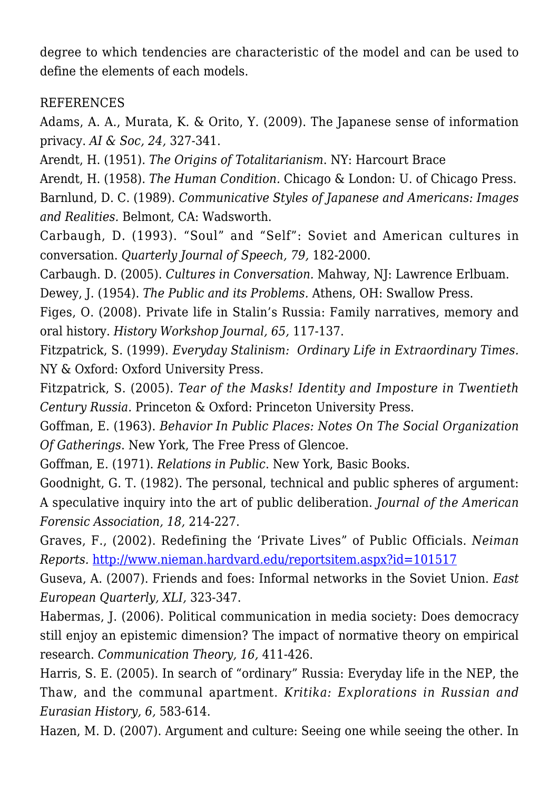degree to which tendencies are characteristic of the model and can be used to define the elements of each models.

#### **REFERENCES**

Adams, A. A., Murata, K. & Orito, Y. (2009). The Japanese sense of information privacy. *AI & Soc, 24,* 327-341.

Arendt, H. (1951). *The Origins of Totalitarianism*. NY: Harcourt Brace

Arendt, H. (1958). *The Human Condition.* Chicago & London: U. of Chicago Press. Barnlund, D. C. (1989). *Communicative Styles of Japanese and Americans: Images and Realities.* Belmont, CA: Wadsworth.

Carbaugh, D. (1993). "Soul" and "Self": Soviet and American cultures in conversation. *Quarterly Journal of Speech, 79,* 182-2000.

Carbaugh. D. (2005). *Cultures in Conversation.* Mahway, NJ: Lawrence Erlbuam.

Dewey, J. (1954). *The Public and its Problems.* Athens, OH: Swallow Press.

Figes, O. (2008). Private life in Stalin's Russia: Family narratives, memory and oral history. *History Workshop Journal, 65,* 117-137.

Fitzpatrick, S. (1999). *Everyday Stalinism: Ordinary Life in Extraordinary Times.* NY & Oxford: Oxford University Press.

Fitzpatrick, S. (2005). *Tear of the Masks! Identity and Imposture in Twentieth Century Russia.* Princeton & Oxford: Princeton University Press.

Goffman, E. (1963). *Behavior In Public Places: Notes On The Social Organization Of Gatherings*. New York, The Free Press of Glencoe.

Goffman, E. (1971). *Relations in Public*. New York, Basic Books.

Goodnight, G. T. (1982). The personal, technical and public spheres of argument: A speculative inquiry into the art of public deliberation. *Journal of the American Forensic Association, 18,* 214-227.

Graves, F., (2002). Redefining the 'Private Lives" of Public Officials. *Neiman Reports.* <http://www.nieman.hardvard.edu/reportsitem.aspx?id=101517>

Guseva, A. (2007). Friends and foes: Informal networks in the Soviet Union. *East European Quarterly, XLI,* 323-347.

Habermas, J. (2006). Political communication in media society: Does democracy still enjoy an epistemic dimension? The impact of normative theory on empirical research. *Communication Theory, 16,* 411-426.

Harris, S. E. (2005). In search of "ordinary" Russia: Everyday life in the NEP, the Thaw, and the communal apartment. *Kritika: Explorations in Russian and Eurasian History, 6,* 583-614.

Hazen, M. D. (2007). Argument and culture: Seeing one while seeing the other. In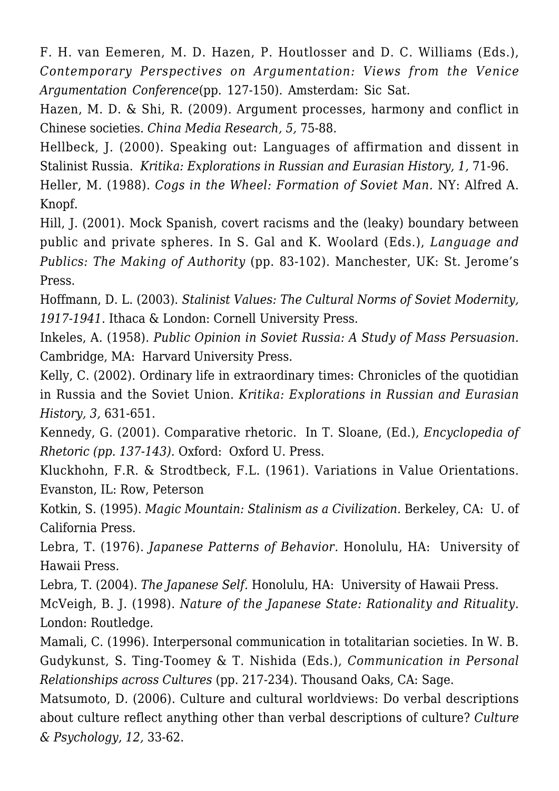F. H. van Eemeren, M. D. Hazen, P. Houtlosser and D. C. Williams (Eds.), *Contemporary Perspectives on Argumentation: Views from the Venice Argumentation Conference*(pp. 127-150). Amsterdam: Sic Sat.

Hazen, M. D. & Shi, R. (2009). Argument processes, harmony and conflict in Chinese societies. *China Media Research, 5,* 75-88.

Hellbeck, J. (2000). Speaking out: Languages of affirmation and dissent in Stalinist Russia. *Kritika: Explorations in Russian and Eurasian History, 1,* 71-96.

Heller, M. (1988). *Cogs in the Wheel: Formation of Soviet Man.* NY: Alfred A. Knopf.

Hill, J. (2001). Mock Spanish, covert racisms and the (leaky) boundary between public and private spheres. In S. Gal and K. Woolard (Eds.), *Language and Publics: The Making of Authority* (pp. 83-102). Manchester, UK: St. Jerome's Press.

Hoffmann, D. L. (2003). *Stalinist Values: The Cultural Norms of Soviet Modernity, 1917-1941.* Ithaca & London: Cornell University Press.

Inkeles, A. (1958). *Public Opinion in Soviet Russia: A Study of Mass Persuasion.* Cambridge, MA: Harvard University Press.

Kelly, C. (2002). Ordinary life in extraordinary times: Chronicles of the quotidian in Russia and the Soviet Union. *Kritika: Explorations in Russian and Eurasian History, 3,* 631-651.

Kennedy, G. (2001). Comparative rhetoric. In T. Sloane, (Ed.), *Encyclopedia of Rhetoric (pp. 137-143).* Oxford: Oxford U. Press.

Kluckhohn, F.R. & Strodtbeck, F.L. (1961). Variations in Value Orientations. Evanston, IL: Row, Peterson

Kotkin, S. (1995). *Magic Mountain: Stalinism as a Civilization.* Berkeley, CA: U. of California Press.

Lebra, T. (1976). *Japanese Patterns of Behavior.* Honolulu, HA: University of Hawaii Press.

Lebra, T. (2004). *The Japanese Self.* Honolulu, HA: University of Hawaii Press.

McVeigh, B. J. (1998). *Nature of the Japanese State: Rationality and Rituality.* London: Routledge.

Mamali, C. (1996). Interpersonal communication in totalitarian societies. In W. B. Gudykunst, S. Ting-Toomey & T. Nishida (Eds.), *Communication in Personal Relationships across Cultures* (pp. 217-234). Thousand Oaks, CA: Sage.

Matsumoto, D. (2006). Culture and cultural worldviews: Do verbal descriptions about culture reflect anything other than verbal descriptions of culture? *Culture & Psychology, 12,* 33-62.